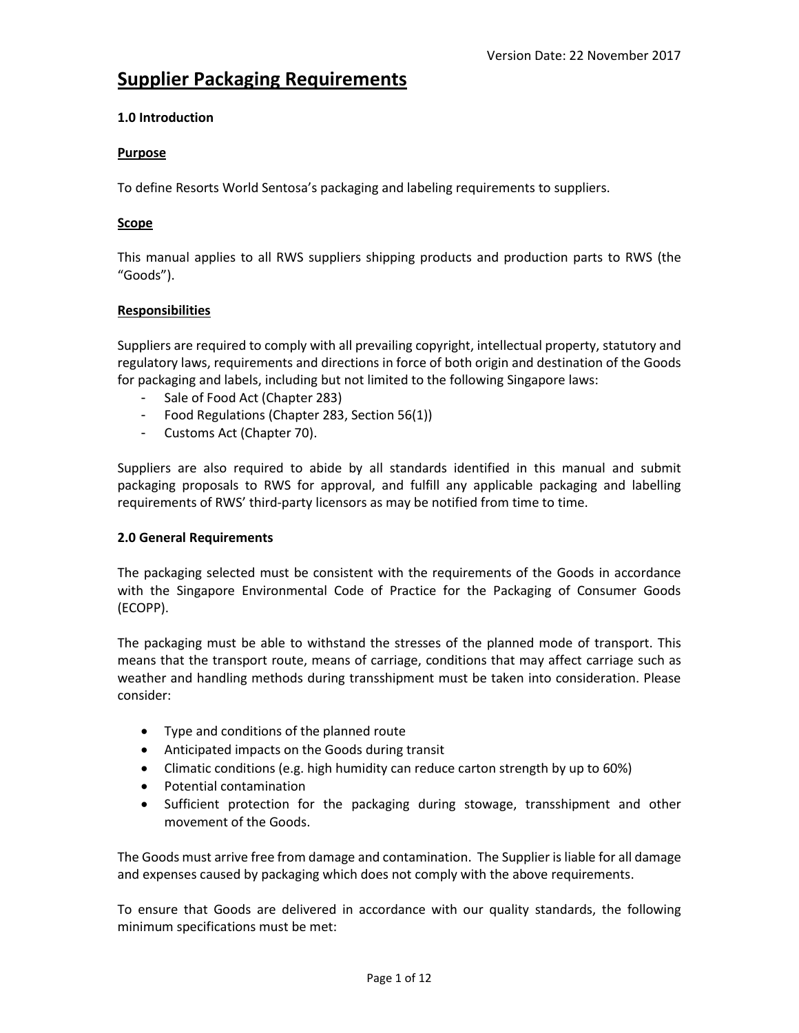# **Supplier Packaging Requirements**

# **1.0 Introduction**

# **Purpose**

To define Resorts World Sentosa's packaging and labeling requirements to suppliers.

# **Scope**

This manual applies to all RWS suppliers shipping products and production parts to RWS (the "Goods").

# **Responsibilities**

Suppliers are required to comply with all prevailing copyright, intellectual property, statutory and regulatory laws, requirements and directions in force of both origin and destination of the Goods for packaging and labels, including but not limited to the following Singapore laws:

- Sale of Food Act (Chapter 283)
- Food Regulations (Chapter 283, Section 56(1))
- Customs Act (Chapter 70).

Suppliers are also required to abide by all standards identified in this manual and submit packaging proposals to RWS for approval, and fulfill any applicable packaging and labelling requirements of RWS' third-party licensors as may be notified from time to time.

# **2.0 General Requirements**

The packaging selected must be consistent with the requirements of the Goods in accordance with the Singapore Environmental Code of Practice for the Packaging of Consumer Goods (ECOPP).

The packaging must be able to withstand the stresses of the planned mode of transport. This means that the transport route, means of carriage, conditions that may affect carriage such as weather and handling methods during transshipment must be taken into consideration. Please consider:

- Type and conditions of the planned route
- Anticipated impacts on the Goods during transit
- Climatic conditions (e.g. high humidity can reduce carton strength by up to 60%)
- Potential contamination
- Sufficient protection for the packaging during stowage, transshipment and other movement of the Goods.

The Goods must arrive free from damage and contamination. The Supplier is liable for all damage and expenses caused by packaging which does not comply with the above requirements.

To ensure that Goods are delivered in accordance with our quality standards, the following minimum specifications must be met: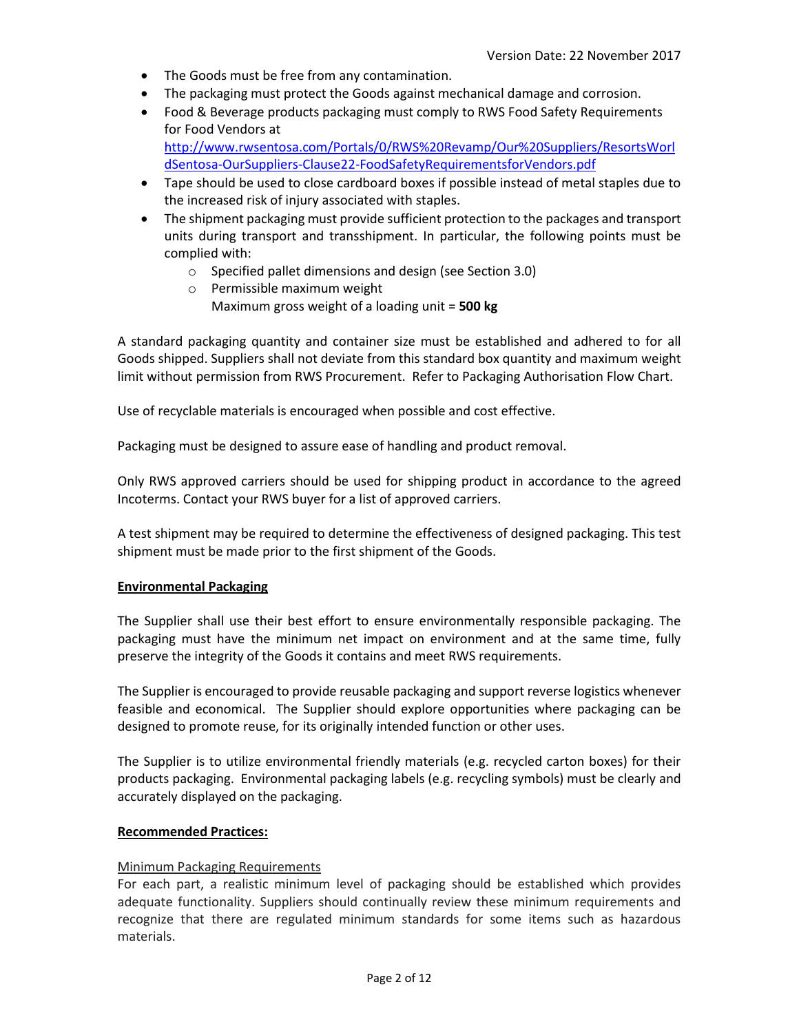- The Goods must be free from any contamination.
- The packaging must protect the Goods against mechanical damage and corrosion.
- Food & Beverage products packaging must comply to RWS Food Safety Requirements for Food Vendors at [http://www.rwsentosa.com/Portals/0/RWS%20Revamp/Our%20Suppliers/ResortsWorl](http://www.rwsentosa.com/Portals/0/RWS%20Revamp/Our%20Suppliers/ResortsWorldSentosa-OurSuppliers-Clause22-FoodSafetyRequirementsforVendors.pdf) [dSentosa-OurSuppliers-Clause22-FoodSafetyRequirementsforVendors.pdf](http://www.rwsentosa.com/Portals/0/RWS%20Revamp/Our%20Suppliers/ResortsWorldSentosa-OurSuppliers-Clause22-FoodSafetyRequirementsforVendors.pdf)
- Tape should be used to close cardboard boxes if possible instead of metal staples due to the increased risk of injury associated with staples.
- The shipment packaging must provide sufficient protection to the packages and transport units during transport and transshipment. In particular, the following points must be complied with:
	- o Specified pallet dimensions and design (see Section 3.0)
	- o Permissible maximum weight
		- Maximum gross weight of a loading unit = **500 kg**

A standard packaging quantity and container size must be established and adhered to for all Goods shipped. Suppliers shall not deviate from this standard box quantity and maximum weight limit without permission from RWS Procurement. Refer to Packaging Authorisation Flow Chart.

Use of recyclable materials is encouraged when possible and cost effective.

Packaging must be designed to assure ease of handling and product removal.

Only RWS approved carriers should be used for shipping product in accordance to the agreed Incoterms. Contact your RWS buyer for a list of approved carriers.

A test shipment may be required to determine the effectiveness of designed packaging. This test shipment must be made prior to the first shipment of the Goods.

#### **Environmental Packaging**

The Supplier shall use their best effort to ensure environmentally responsible packaging. The packaging must have the minimum net impact on environment and at the same time, fully preserve the integrity of the Goods it contains and meet RWS requirements.

The Supplier is encouraged to provide reusable packaging and support reverse logistics whenever feasible and economical. The Supplier should explore opportunities where packaging can be designed to promote reuse, for its originally intended function or other uses.

The Supplier is to utilize environmental friendly materials (e.g. recycled carton boxes) for their products packaging. Environmental packaging labels (e.g. recycling symbols) must be clearly and accurately displayed on the packaging.

#### **Recommended Practices:**

#### Minimum Packaging Requirements

For each part, a realistic minimum level of packaging should be established which provides adequate functionality. Suppliers should continually review these minimum requirements and recognize that there are regulated minimum standards for some items such as hazardous materials.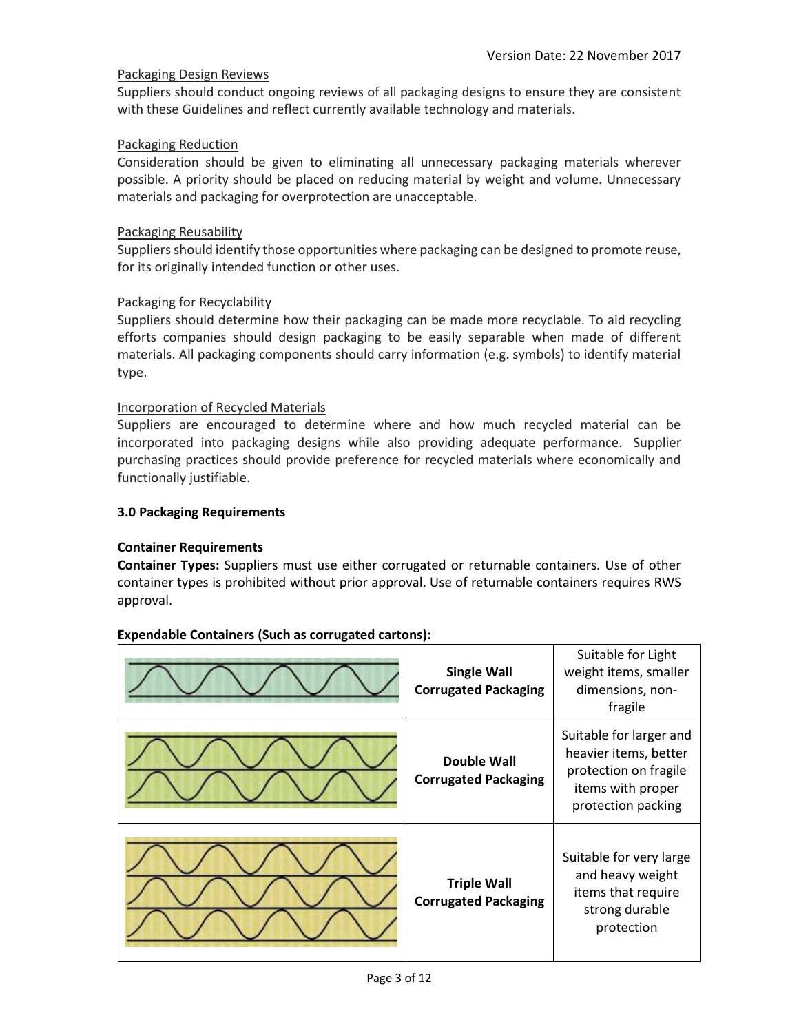# Packaging Design Reviews

Suppliers should conduct ongoing reviews of all packaging designs to ensure they are consistent with these Guidelines and reflect currently available technology and materials.

# Packaging Reduction

Consideration should be given to eliminating all unnecessary packaging materials wherever possible. A priority should be placed on reducing material by weight and volume. Unnecessary materials and packaging for overprotection are unacceptable.

# Packaging Reusability

Suppliers should identify those opportunities where packaging can be designed to promote reuse, for its originally intended function or other uses.

#### Packaging for Recyclability

Suppliers should determine how their packaging can be made more recyclable. To aid recycling efforts companies should design packaging to be easily separable when made of different materials. All packaging components should carry information (e.g. symbols) to identify material type.

#### Incorporation of Recycled Materials

Suppliers are encouraged to determine where and how much recycled material can be incorporated into packaging designs while also providing adequate performance. Supplier purchasing practices should provide preference for recycled materials where economically and functionally justifiable.

#### **3.0 Packaging Requirements**

# **Container Requirements**

**Container Types:** Suppliers must use either corrugated or returnable containers. Use of other container types is prohibited without prior approval. Use of returnable containers requires RWS approval.

| <b>Single Wall</b><br><b>Corrugated Packaging</b> | Suitable for Light<br>weight items, smaller<br>dimensions, non-<br>fragile                                           |
|---------------------------------------------------|----------------------------------------------------------------------------------------------------------------------|
| <b>Double Wall</b><br><b>Corrugated Packaging</b> | Suitable for larger and<br>heavier items, better<br>protection on fragile<br>items with proper<br>protection packing |
| <b>Triple Wall</b><br><b>Corrugated Packaging</b> | Suitable for very large<br>and heavy weight<br>items that require<br>strong durable<br>protection                    |

#### **Expendable Containers (Such as corrugated cartons):**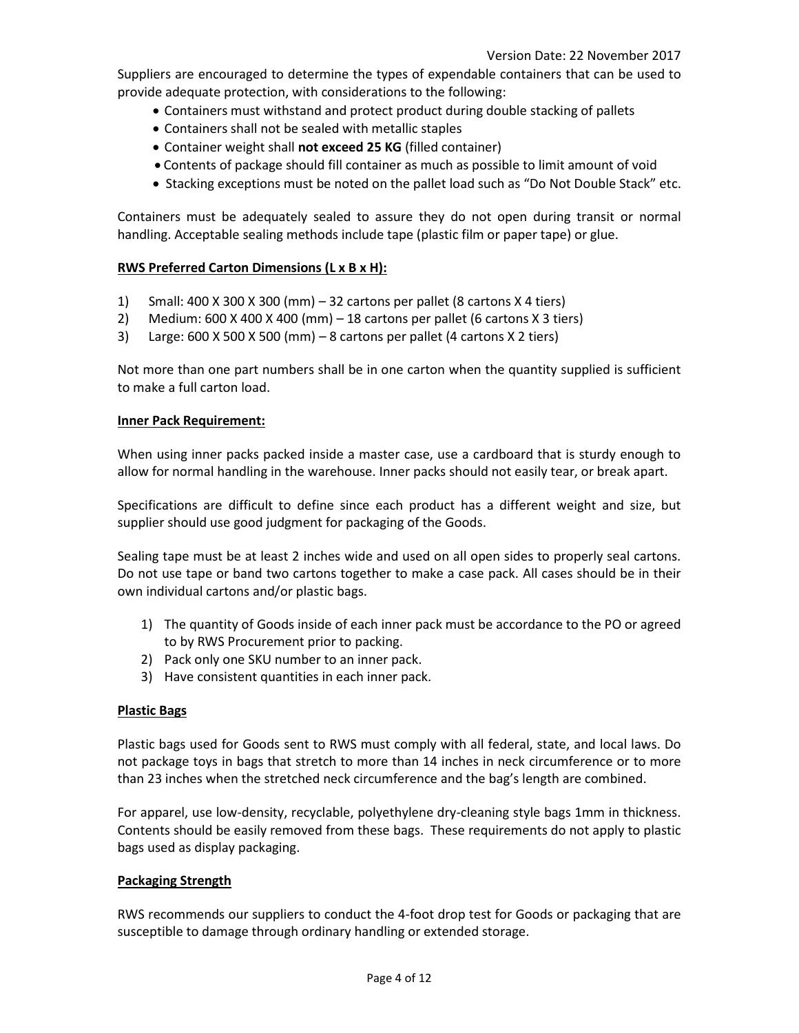Suppliers are encouraged to determine the types of expendable containers that can be used to provide adequate protection, with considerations to the following:

- Containers must withstand and protect product during double stacking of pallets
- Containers shall not be sealed with metallic staples
- Container weight shall **not exceed 25 KG** (filled container)
- Contents of package should fill container as much as possible to limit amount of void
- Stacking exceptions must be noted on the pallet load such as "Do Not Double Stack" etc.

Containers must be adequately sealed to assure they do not open during transit or normal handling. Acceptable sealing methods include tape (plastic film or paper tape) or glue.

# **RWS Preferred Carton Dimensions (L x B x H):**

- 1) Small: 400 X 300 X 300 (mm) 32 cartons per pallet (8 cartons X 4 tiers)
- 2) Medium: 600 X 400 X 400 (mm) 18 cartons per pallet (6 cartons X 3 tiers)
- 3) Large: 600 X 500 X 500 (mm) 8 cartons per pallet (4 cartons X 2 tiers)

Not more than one part numbers shall be in one carton when the quantity supplied is sufficient to make a full carton load.

#### **Inner Pack Requirement:**

When using inner packs packed inside a master case, use a cardboard that is sturdy enough to allow for normal handling in the warehouse. Inner packs should not easily tear, or break apart.

Specifications are difficult to define since each product has a different weight and size, but supplier should use good judgment for packaging of the Goods.

Sealing tape must be at least 2 inches wide and used on all open sides to properly seal cartons. Do not use tape or band two cartons together to make a case pack. All cases should be in their own individual cartons and/or plastic bags.

- 1) The quantity of Goods inside of each inner pack must be accordance to the PO or agreed to by RWS Procurement prior to packing.
- 2) Pack only one SKU number to an inner pack.
- 3) Have consistent quantities in each inner pack.

#### **Plastic Bags**

Plastic bags used for Goods sent to RWS must comply with all federal, state, and local laws. Do not package toys in bags that stretch to more than 14 inches in neck circumference or to more than 23 inches when the stretched neck circumference and the bag's length are combined.

For apparel, use low-density, recyclable, polyethylene dry-cleaning style bags 1mm in thickness. Contents should be easily removed from these bags. These requirements do not apply to plastic bags used as display packaging.

#### **Packaging Strength**

RWS recommends our suppliers to conduct the 4-foot drop test for Goods or packaging that are susceptible to damage through ordinary handling or extended storage.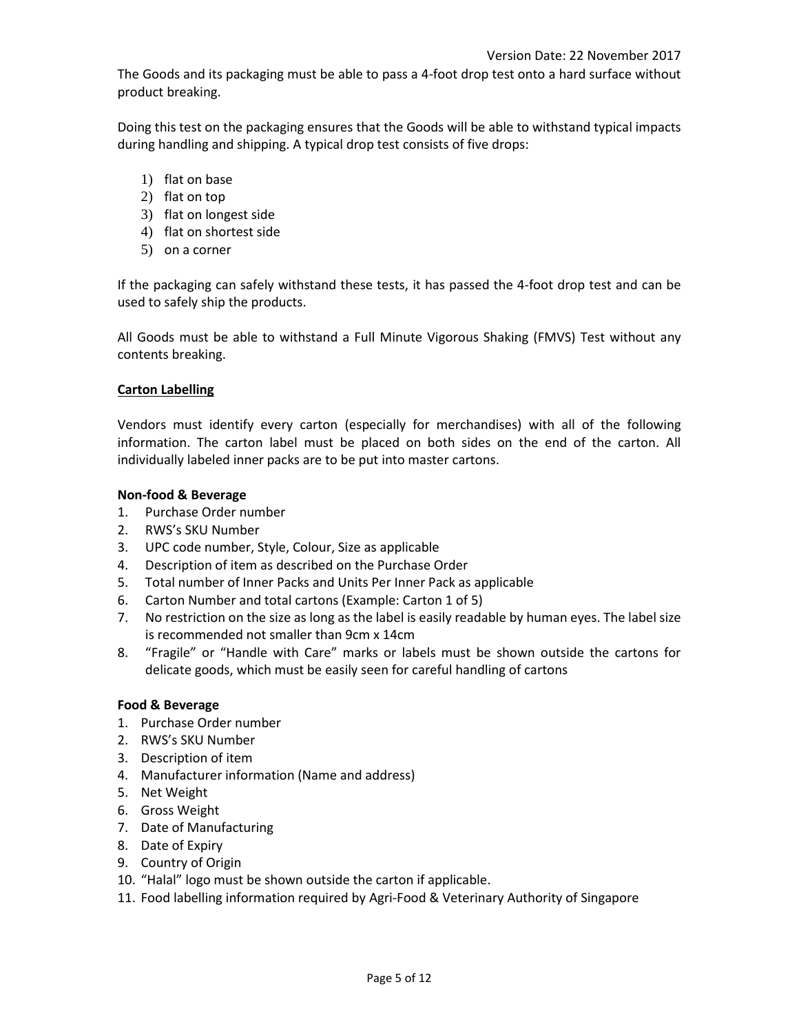The Goods and its packaging must be able to pass a 4-foot drop test onto a hard surface without product breaking.

Doing this test on the packaging ensures that the Goods will be able to withstand typical impacts during handling and shipping. A typical drop test consists of five drops:

- 1) flat on base
- 2) flat on top
- 3) flat on longest side
- 4) flat on shortest side
- 5) on a corner

If the packaging can safely withstand these tests, it has passed the 4-foot drop test and can be used to safely ship the products.

All Goods must be able to withstand a Full Minute Vigorous Shaking (FMVS) Test without any contents breaking.

#### **Carton Labelling**

Vendors must identify every carton (especially for merchandises) with all of the following information. The carton label must be placed on both sides on the end of the carton. All individually labeled inner packs are to be put into master cartons.

#### **Non-food & Beverage**

- 1. Purchase Order number
- 2. RWS's SKU Number
- 3. UPC code number, Style, Colour, Size as applicable
- 4. Description of item as described on the Purchase Order
- 5. Total number of Inner Packs and Units Per Inner Pack as applicable
- 6. Carton Number and total cartons (Example: Carton 1 of 5)
- 7. No restriction on the size as long as the label is easily readable by human eyes. The label size is recommended not smaller than 9cm x 14cm
- 8. "Fragile" or "Handle with Care" marks or labels must be shown outside the cartons for delicate goods, which must be easily seen for careful handling of cartons

# **Food & Beverage**

- 1. Purchase Order number
- 2. RWS's SKU Number
- 3. Description of item
- 4. Manufacturer information (Name and address)
- 5. Net Weight
- 6. Gross Weight
- 7. Date of Manufacturing
- 8. Date of Expiry
- 9. Country of Origin
- 10. "Halal" logo must be shown outside the carton if applicable.
- 11. Food labelling information required by Agri-Food & Veterinary Authority of Singapore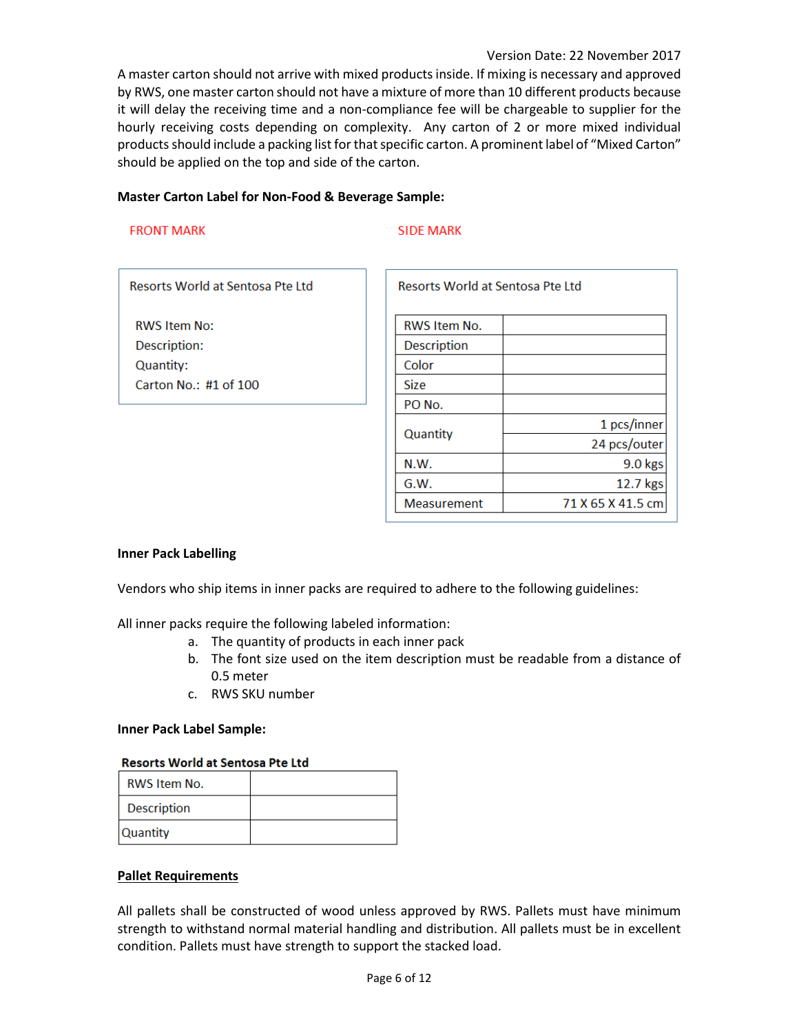A master carton should not arrive with mixed products inside. If mixing is necessary and approved by RWS, one master carton should not have a mixture of more than 10 different products because it will delay the receiving time and a non-compliance fee will be chargeable to supplier for the hourly receiving costs depending on complexity. Any carton of 2 or more mixed individual products should include a packing list for that specific carton. A prominent label of "Mixed Carton" should be applied on the top and side of the carton.

#### **Master Carton Label for Non-Food & Beverage Sample:**

#### **FRONT MARK**

#### **SIDE MARK**

Resorts World at Sentosa Pte Ltd

**RWS Item No:** Description: Quantity: Carton No.: #1 of 100

| Resorts World at Sentosa Pte Ltd |                   |  |
|----------------------------------|-------------------|--|
| <b>RWS Item No.</b>              |                   |  |
| Description                      |                   |  |
| Color                            |                   |  |
| <b>Size</b>                      |                   |  |
| PO No.                           |                   |  |
| Quantity                         | 1 pcs/inner       |  |
|                                  | 24 pcs/outer      |  |
| N.W.                             | 9.0 kgs           |  |
| G.W.                             | 12.7 kgs          |  |
| <b>Measurement</b>               | 71 X 65 X 41.5 cm |  |

# **Inner Pack Labelling**

Vendors who ship items in inner packs are required to adhere to the following guidelines:

All inner packs require the following labeled information:

- a. The quantity of products in each inner pack
- b. The font size used on the item description must be readable from a distance of 0.5 meter
- c. RWS SKU number

#### **Inner Pack Label Sample:**

#### **Resorts World at Sentosa Pte Ltd**

| <b>RWS Item No.</b> |  |
|---------------------|--|
| <b>Description</b>  |  |
| <b>Quantity</b>     |  |

#### **Pallet Requirements**

All pallets shall be constructed of wood unless approved by RWS. Pallets must have minimum strength to withstand normal material handling and distribution. All pallets must be in excellent condition. Pallets must have strength to support the stacked load.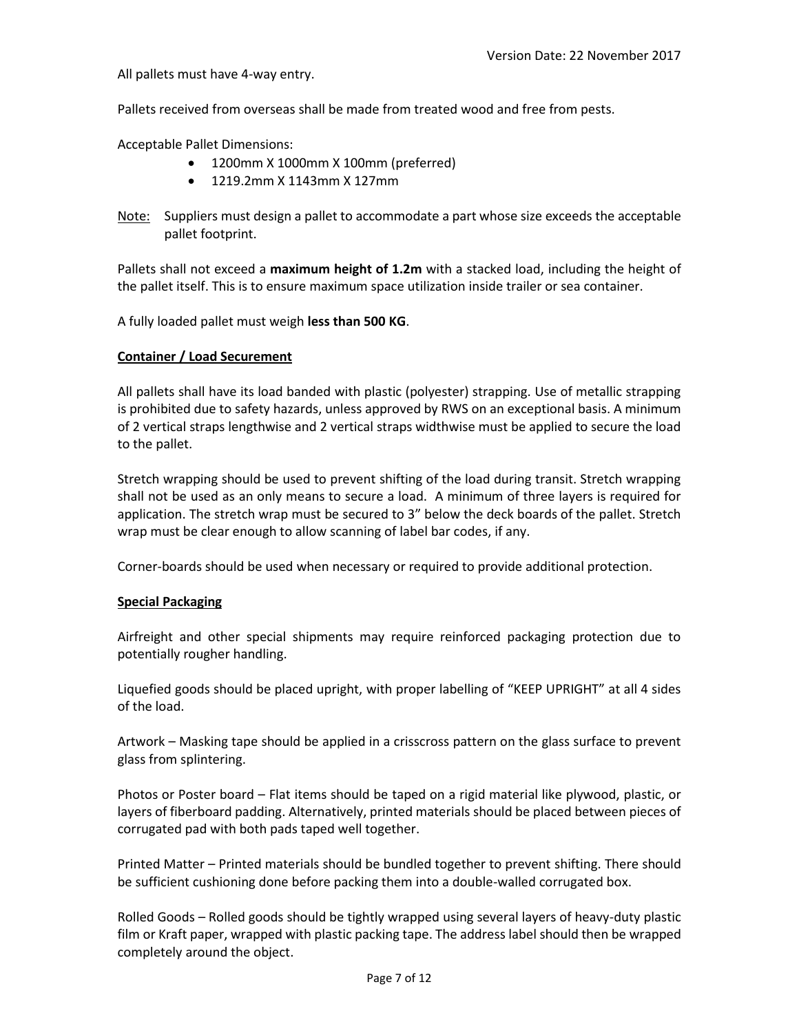All pallets must have 4-way entry.

Pallets received from overseas shall be made from treated wood and free from pests.

Acceptable Pallet Dimensions:

- 1200mm X 1000mm X 100mm (preferred)
- 1219.2mm X 1143mm X 127mm
- Note: Suppliers must design a pallet to accommodate a part whose size exceeds the acceptable pallet footprint.

Pallets shall not exceed a **maximum height of 1.2m** with a stacked load, including the height of the pallet itself. This is to ensure maximum space utilization inside trailer or sea container.

A fully loaded pallet must weigh **less than 500 KG**.

#### **Container / Load Securement**

All pallets shall have its load banded with plastic (polyester) strapping. Use of metallic strapping is prohibited due to safety hazards, unless approved by RWS on an exceptional basis. A minimum of 2 vertical straps lengthwise and 2 vertical straps widthwise must be applied to secure the load to the pallet.

Stretch wrapping should be used to prevent shifting of the load during transit. Stretch wrapping shall not be used as an only means to secure a load. A minimum of three layers is required for application. The stretch wrap must be secured to 3" below the deck boards of the pallet. Stretch wrap must be clear enough to allow scanning of label bar codes, if any.

Corner-boards should be used when necessary or required to provide additional protection.

#### **Special Packaging**

Airfreight and other special shipments may require reinforced packaging protection due to potentially rougher handling.

Liquefied goods should be placed upright, with proper labelling of "KEEP UPRIGHT" at all 4 sides of the load.

Artwork – Masking tape should be applied in a crisscross pattern on the glass surface to prevent glass from splintering.

Photos or Poster board – Flat items should be taped on a rigid material like plywood, plastic, or layers of fiberboard padding. Alternatively, printed materials should be placed between pieces of corrugated pad with both pads taped well together.

Printed Matter – Printed materials should be bundled together to prevent shifting. There should be sufficient cushioning done before packing them into a double-walled corrugated box.

Rolled Goods – Rolled goods should be tightly wrapped using several layers of heavy-duty plastic film or Kraft paper, wrapped with plastic packing tape. The address label should then be wrapped completely around the object.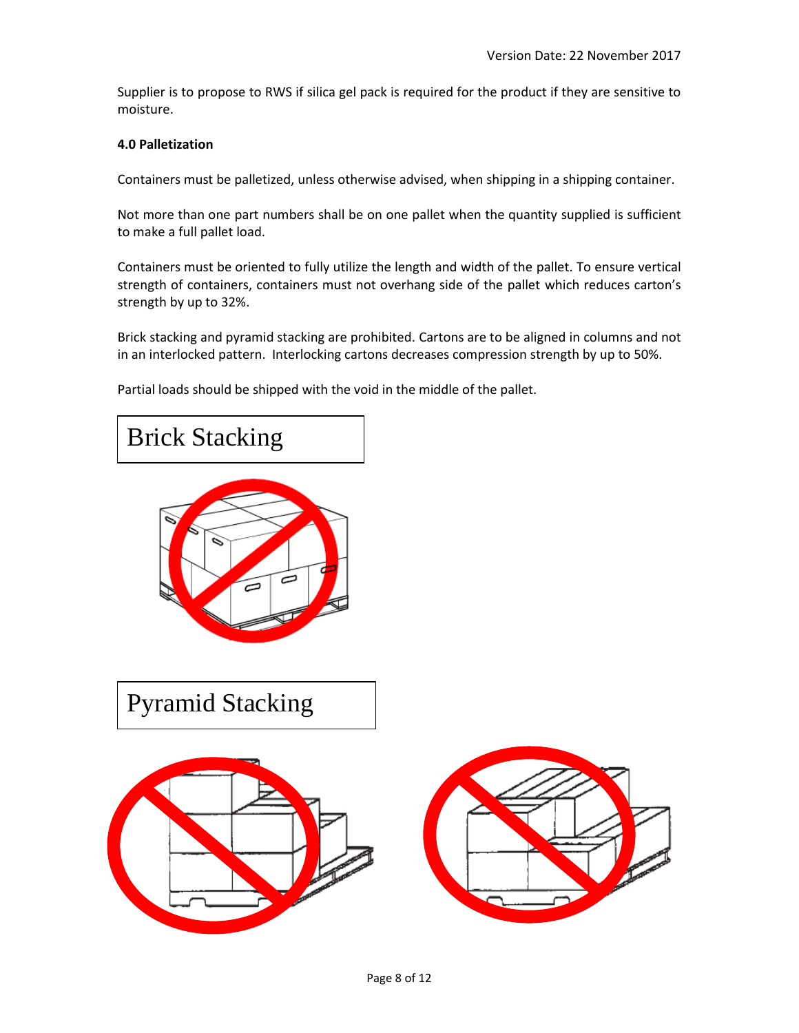Supplier is to propose to RWS if silica gel pack is required for the product if they are sensitive to moisture.

#### **4.0 Palletization**

Containers must be palletized, unless otherwise advised, when shipping in a shipping container.

Not more than one part numbers shall be on one pallet when the quantity supplied is sufficient to make a full pallet load.

Containers must be oriented to fully utilize the length and width of the pallet. To ensure vertical strength of containers, containers must not overhang side of the pallet which reduces carton's strength by up to 32%.

Brick stacking and pyramid stacking are prohibited. Cartons are to be aligned in columns and not in an interlocked pattern. Interlocking cartons decreases compression strength by up to 50%.

Partial loads should be shipped with the void in the middle of the pallet.

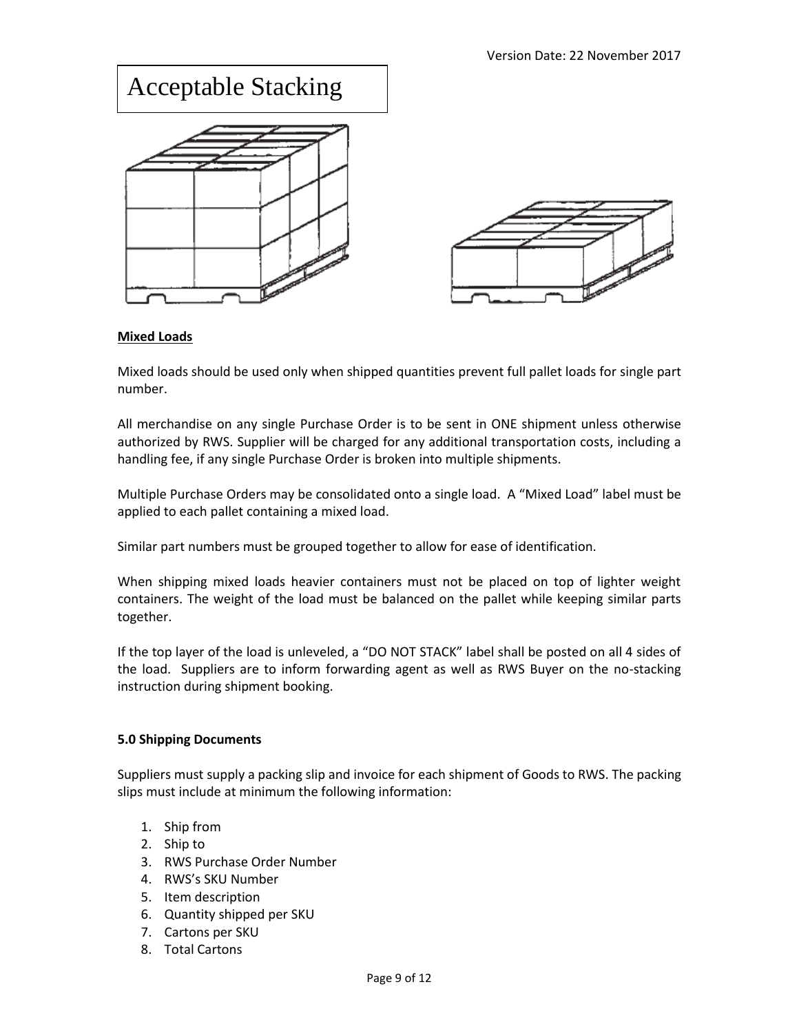# Acceptable Stacking

# **Mixed Loads**

Mixed loads should be used only when shipped quantities prevent full pallet loads for single part number.

All merchandise on any single Purchase Order is to be sent in ONE shipment unless otherwise authorized by RWS. Supplier will be charged for any additional transportation costs, including a handling fee, if any single Purchase Order is broken into multiple shipments.

Multiple Purchase Orders may be consolidated onto a single load. A "Mixed Load" label must be applied to each pallet containing a mixed load.

Similar part numbers must be grouped together to allow for ease of identification.

When shipping mixed loads heavier containers must not be placed on top of lighter weight containers. The weight of the load must be balanced on the pallet while keeping similar parts together.

If the top layer of the load is unleveled, a "DO NOT STACK" label shall be posted on all 4 sides of the load. Suppliers are to inform forwarding agent as well as RWS Buyer on the no-stacking instruction during shipment booking.

# **5.0 Shipping Documents**

Suppliers must supply a packing slip and invoice for each shipment of Goods to RWS. The packing slips must include at minimum the following information:

- 1. Ship from
- 2. Ship to
- 3. RWS Purchase Order Number
- 4. RWS's SKU Number
- 5. Item description
- 6. Quantity shipped per SKU
- 7. Cartons per SKU
- 8. Total Cartons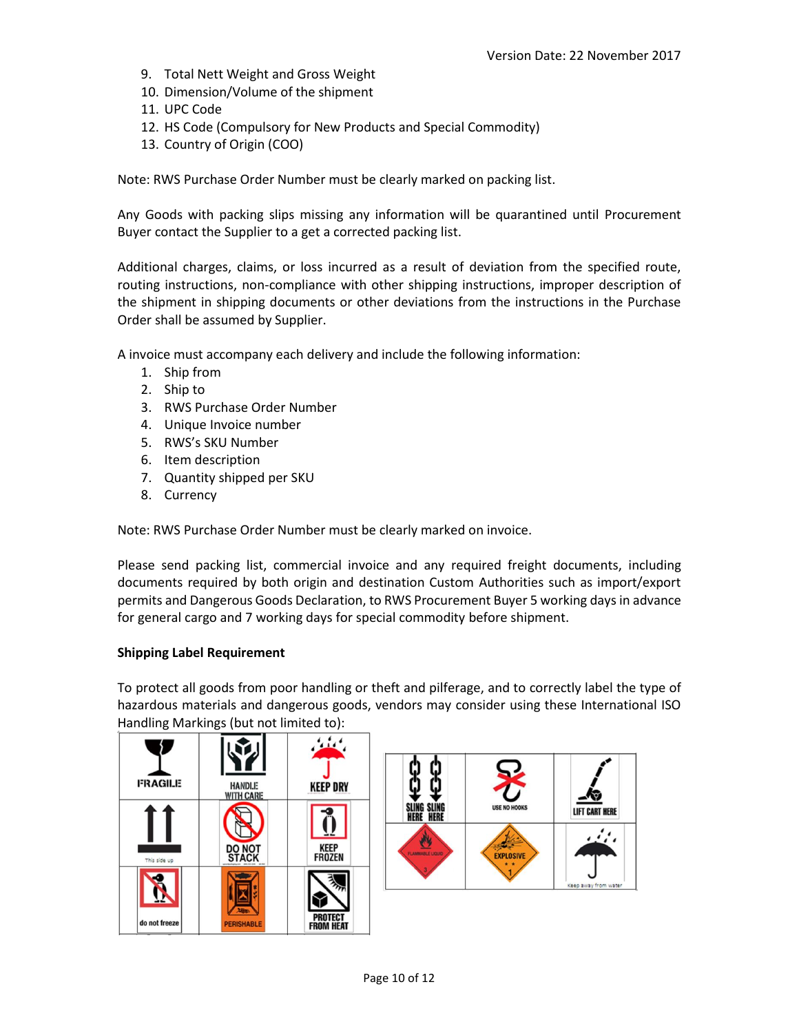**IFT CART HERE** 

**EXPLOSIVE** 

- 9. Total Nett Weight and Gross Weight
- 10. Dimension/Volume of the shipment
- 11. UPC Code
- 12. HS Code (Compulsory for New Products and Special Commodity)
- 13. Country of Origin (COO)

Note: RWS Purchase Order Number must be clearly marked on packing list.

Any Goods with packing slips missing any information will be quarantined until Procurement Buyer contact the Supplier to a get a corrected packing list.

Additional charges, claims, or loss incurred as a result of deviation from the specified route, routing instructions, non-compliance with other shipping instructions, improper description of the shipment in shipping documents or other deviations from the instructions in the Purchase Order shall be assumed by Supplier.

A invoice must accompany each delivery and include the following information:

- 1. Ship from
- 2. Ship to
- 3. RWS Purchase Order Number
- 4. Unique Invoice number
- 5. RWS's SKU Number
- 6. Item description
- 7. Quantity shipped per SKU
- 8. Currency

Note: RWS Purchase Order Number must be clearly marked on invoice.

Please send packing list, commercial invoice and any required freight documents, including documents required by both origin and destination Custom Authorities such as import/export permits and Dangerous Goods Declaration, to RWS Procurement Buyer 5 working days in advance for general cargo and 7 working days for special commodity before shipment.

# **Shipping Label Requirement**

To protect all goods from poor handling or theft and pilferage, and to correctly label the type of hazardous materials and dangerous goods, vendors may consider using these International ISO Handling Markings (but not limited to):

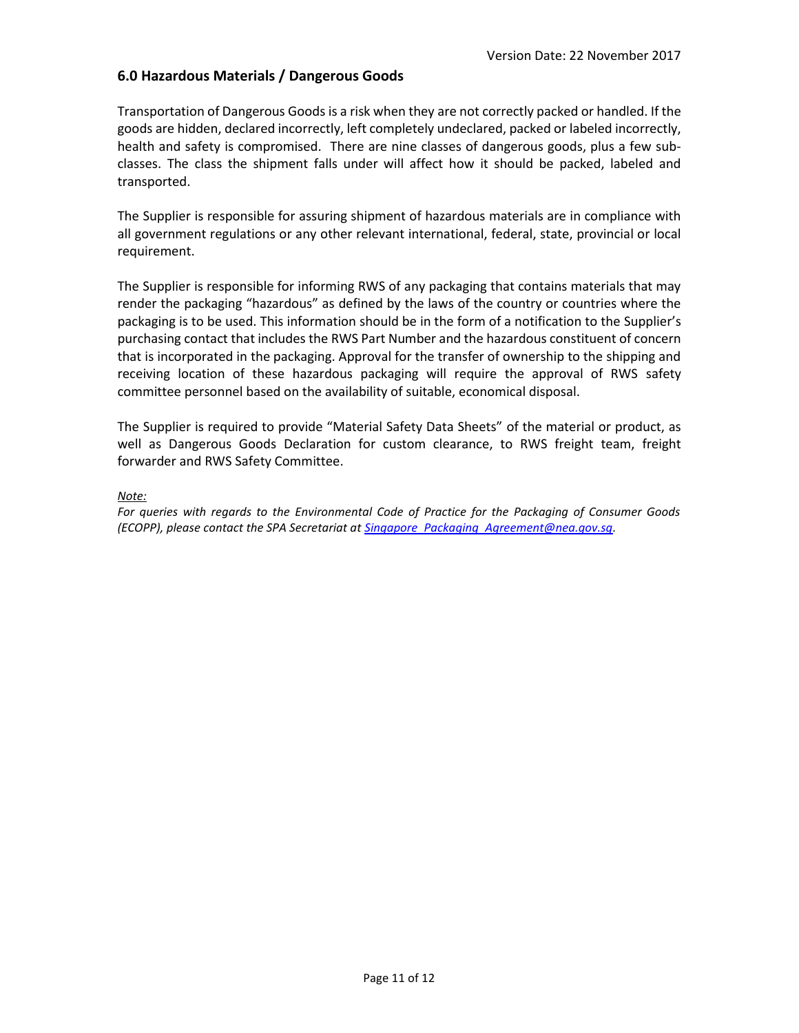# **6.0 Hazardous Materials / Dangerous Goods**

Transportation of Dangerous Goods is a risk when they are not correctly packed or handled. If the goods are hidden, declared incorrectly, left completely undeclared, packed or labeled incorrectly, health and safety is compromised. There are nine classes of dangerous goods, plus a few subclasses. The class the shipment falls under will affect how it should be packed, labeled and transported.

The Supplier is responsible for assuring shipment of hazardous materials are in compliance with all government regulations or any other relevant international, federal, state, provincial or local requirement.

The Supplier is responsible for informing RWS of any packaging that contains materials that may render the packaging "hazardous" as defined by the laws of the country or countries where the packaging is to be used. This information should be in the form of a notification to the Supplier's purchasing contact that includes the RWS Part Number and the hazardous constituent of concern that is incorporated in the packaging. Approval for the transfer of ownership to the shipping and receiving location of these hazardous packaging will require the approval of RWS safety committee personnel based on the availability of suitable, economical disposal.

The Supplier is required to provide "Material Safety Data Sheets" of the material or product, as well as Dangerous Goods Declaration for custom clearance, to RWS freight team, freight forwarder and RWS Safety Committee.

#### *Note:*

*For queries with regards to the Environmental Code of Practice for the Packaging of Consumer Goods (ECOPP), please contact the SPA Secretariat at [Singapore\\_Packaging\\_Agreement@nea.gov.sg.](mailto:Singapore_Packaging_Agreement@nea.gov.sg)*